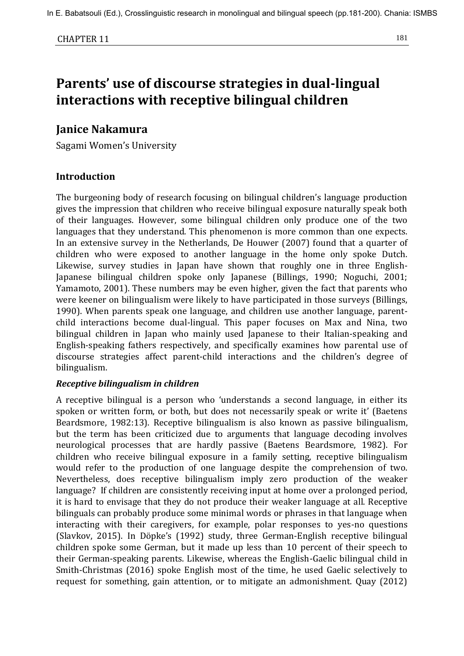# **Parents' use of discourse strategies in dual-lingual interactions with receptive bilingual children**

# **Janice Nakamura**

Sagami Women's University

# **Introduction**

The burgeoning body of research focusing on bilingual children's language production gives the impression that children who receive bilingual exposure naturally speak both of their languages. However, some bilingual children only produce one of the two languages that they understand. This phenomenon is more common than one expects. In an extensive survey in the Netherlands, De Houwer (2007) found that a quarter of children who were exposed to another language in the home only spoke Dutch. Likewise, survey studies in Japan have shown that roughly one in three English-Japanese bilingual children spoke only Japanese (Billings, 1990; Noguchi, 2001; Yamamoto, 2001). These numbers may be even higher, given the fact that parents who were keener on bilingualism were likely to have participated in those surveys (Billings, 1990). When parents speak one language, and children use another language, parentchild interactions become dual-lingual. This paper focuses on Max and Nina, two bilingual children in Japan who mainly used Japanese to their Italian-speaking and English-speaking fathers respectively, and specifically examines how parental use of discourse strategies affect parent-child interactions and the children's degree of bilingualism.

# *Receptive bilingualism in children*

A receptive bilingual is a person who 'understands a second language, in either its spoken or written form, or both, but does not necessarily speak or write it' (Baetens Beardsmore, 1982:13). Receptive bilingualism is also known as passive bilingualism, but the term has been criticized due to arguments that language decoding involves neurological processes that are hardly passive (Baetens Beardsmore, 1982). For children who receive bilingual exposure in a family setting, receptive bilingualism would refer to the production of one language despite the comprehension of two. Nevertheless, does receptive bilingualism imply zero production of the weaker language? If children are consistently receiving input at home over a prolonged period, it is hard to envisage that they do not produce their weaker language at all. Receptive bilinguals can probably produce some minimal words or phrases in that language when interacting with their caregivers, for example, polar responses to yes-no questions (Slavkov, 2015). In Döpke's (1992) study, three German-English receptive bilingual children spoke some German, but it made up less than 10 percent of their speech to their German-speaking parents. Likewise, whereas the English-Gaelic bilingual child in Smith-Christmas (2016) spoke English most of the time, he used Gaelic selectively to request for something, gain attention, or to mitigate an admonishment. Quay (2012)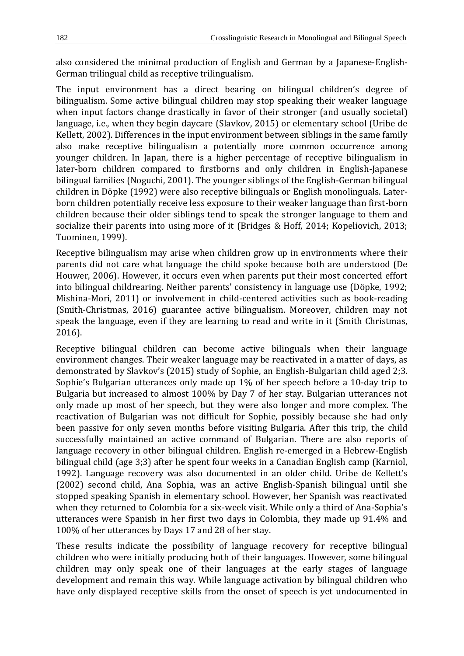also considered the minimal production of English and German by a Japanese-English-German trilingual child as receptive trilingualism.

The input environment has a direct bearing on bilingual children's degree of bilingualism. Some active bilingual children may stop speaking their weaker language when input factors change drastically in favor of their stronger (and usually societal) language, i.e., when they begin daycare (Slavkov, 2015) or elementary school (Uribe de Kellett, 2002). Differences in the input environment between siblings in the same family also make receptive bilingualism a potentially more common occurrence among younger children. In Japan, there is a higher percentage of receptive bilingualism in later-born children compared to firstborns and only children in English-Japanese bilingual families (Noguchi, 2001). The younger siblings of the English-German bilingual children in Döpke (1992) were also receptive bilinguals or English monolinguals. Laterborn children potentially receive less exposure to their weaker language than first-born children because their older siblings tend to speak the stronger language to them and socialize their parents into using more of it (Bridges & Hoff, 2014; Kopeliovich, 2013; Tuominen, 1999).

Receptive bilingualism may arise when children grow up in environments where their parents did not care what language the child spoke because both are understood (De Houwer, 2006). However, it occurs even when parents put their most concerted effort into bilingual childrearing. Neither parents' consistency in language use (Döpke, 1992; Mishina-Mori, 2011) or involvement in child-centered activities such as book-reading (Smith-Christmas, 2016) guarantee active bilingualism. Moreover, children may not speak the language, even if they are learning to read and write in it (Smith Christmas, 2016).

Receptive bilingual children can become active bilinguals when their language environment changes. Their weaker language may be reactivated in a matter of days, as demonstrated by Slavkov's (2015) study of Sophie, an English-Bulgarian child aged 2;3. Sophie's Bulgarian utterances only made up 1% of her speech before a 10-day trip to Bulgaria but increased to almost 100% by Day 7 of her stay. Bulgarian utterances not only made up most of her speech, but they were also longer and more complex. The reactivation of Bulgarian was not difficult for Sophie, possibly because she had only been passive for only seven months before visiting Bulgaria. After this trip, the child successfully maintained an active command of Bulgarian. There are also reports of language recovery in other bilingual children. English re-emerged in a Hebrew-English bilingual child (age 3;3) after he spent four weeks in a Canadian English camp (Karniol, 1992). Language recovery was also documented in an older child. Uribe de Kellett's (2002) second child, Ana Sophia, was an active English-Spanish bilingual until she stopped speaking Spanish in elementary school. However, her Spanish was reactivated when they returned to Colombia for a six-week visit. While only a third of Ana-Sophia's utterances were Spanish in her first two days in Colombia, they made up 91.4% and 100% of her utterances by Days 17 and 28 of her stay.

These results indicate the possibility of language recovery for receptive bilingual children who were initially producing both of their languages. However, some bilingual children may only speak one of their languages at the early stages of language development and remain this way. While language activation by bilingual children who have only displayed receptive skills from the onset of speech is yet undocumented in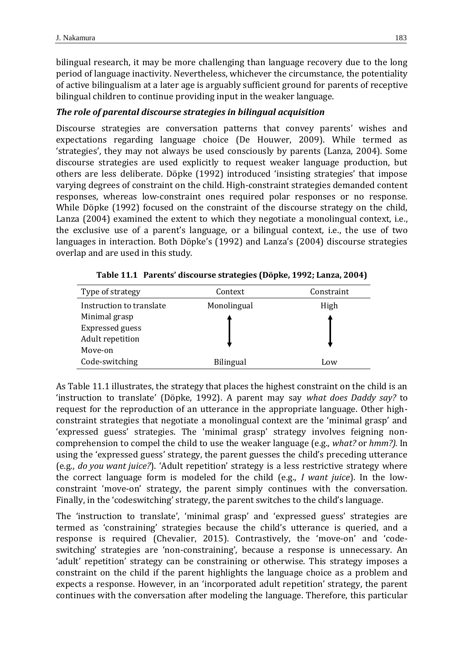bilingual research, it may be more challenging than language recovery due to the long period of language inactivity. Nevertheless, whichever the circumstance, the potentiality of active bilingualism at a later age is arguably sufficient ground for parents of receptive bilingual children to continue providing input in the weaker language.

## *The role of parental discourse strategies in bilingual acquisition*

Discourse strategies are conversation patterns that convey parents' wishes and expectations regarding language choice (De Houwer, 2009). While termed as 'strategies', they may not always be used consciously by parents (Lanza, 2004). Some discourse strategies are used explicitly to request weaker language production, but others are less deliberate. Döpke (1992) introduced 'insisting strategies' that impose varying degrees of constraint on the child. High-constraint strategies demanded content responses, whereas low-constraint ones required polar responses or no response. While Döpke (1992) focused on the constraint of the discourse strategy on the child, Lanza (2004) examined the extent to which they negotiate a monolingual context, i.e., the exclusive use of a parent's language, or a bilingual context, i.e., the use of two languages in interaction. Both Döpke's (1992) and Lanza's (2004) discourse strategies overlap and are used in this study.

| Type of strategy         | Context          | Constraint |
|--------------------------|------------------|------------|
| Instruction to translate | Monolingual      | High       |
| Minimal grasp            |                  |            |
| <b>Expressed guess</b>   |                  |            |
| Adult repetition         |                  |            |
| Move-on                  |                  |            |
| Code-switching           | <b>Bilingual</b> | Low        |

**Table 11.1 Parents' discourse strategies (Döpke, 1992; Lanza, 2004)**

As Table 11.1 illustrates, the strategy that places the highest constraint on the child is an 'instruction to translate' (Döpke, 1992). A parent may say *what does Daddy say?* to request for the reproduction of an utterance in the appropriate language. Other highconstraint strategies that negotiate a monolingual context are the 'minimal grasp' and 'expressed guess' strategies. The 'minimal grasp' strategy involves feigning noncomprehension to compel the child to use the weaker language (e.g., *what?* or *hmm?).* In using the 'expressed guess' strategy, the parent guesses the child's preceding utterance (e.g., *do you want juice?*). 'Adult repetition' strategy is a less restrictive strategy where the correct language form is modeled for the child (e.g., *I want juice*). In the lowconstraint 'move-on' strategy, the parent simply continues with the conversation. Finally, in the 'codeswitching' strategy, the parent switches to the child's language.

The 'instruction to translate', 'minimal grasp' and 'expressed guess' strategies are termed as 'constraining' strategies because the child's utterance is queried, and a response is required (Chevalier, 2015). Contrastively, the 'move-on' and 'codeswitching' strategies are 'non-constraining', because a response is unnecessary. An 'adult' repetition' strategy can be constraining or otherwise. This strategy imposes a constraint on the child if the parent highlights the language choice as a problem and expects a response. However, in an 'incorporated adult repetition' strategy, the parent continues with the conversation after modeling the language. Therefore, this particular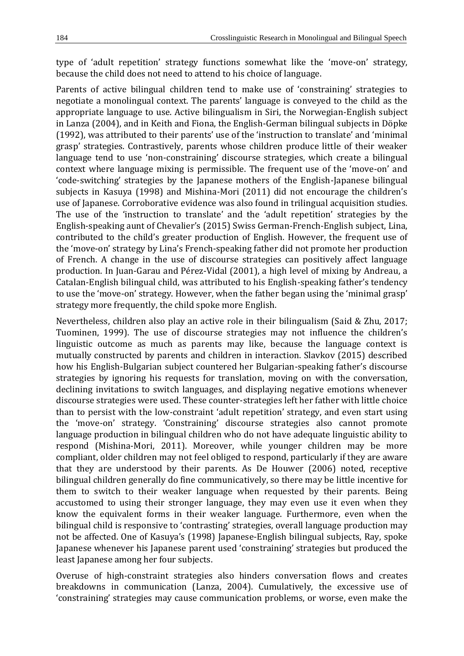type of 'adult repetition' strategy functions somewhat like the 'move-on' strategy, because the child does not need to attend to his choice of language.

Parents of active bilingual children tend to make use of 'constraining' strategies to negotiate a monolingual context. The parents' language is conveyed to the child as the appropriate language to use. Active bilingualism in Siri, the Norwegian-English subject in Lanza (2004), and in Keith and Fiona, the English-German bilingual subjects in Döpke (1992), was attributed to their parents' use of the 'instruction to translate' and 'minimal grasp' strategies. Contrastively, parents whose children produce little of their weaker language tend to use 'non-constraining' discourse strategies, which create a bilingual context where language mixing is permissible. The frequent use of the 'move-on' and 'code-switching' strategies by the Japanese mothers of the English-Japanese bilingual subjects in Kasuya (1998) and Mishina-Mori (2011) did not encourage the children's use of Japanese. Corroborative evidence was also found in trilingual acquisition studies. The use of the 'instruction to translate' and the 'adult repetition' strategies by the English-speaking aunt of Chevalier's (2015) Swiss German-French-English subject, Lina, contributed to the child's greater production of English. However, the frequent use of the 'move-on' strategy by Lina's French-speaking father did not promote her production of French. A change in the use of discourse strategies can positively affect language production. In Juan-Garau and Pérez-Vidal (2001), a high level of mixing by Andreau, a Catalan-English bilingual child, was attributed to his English-speaking father's tendency to use the 'move-on' strategy. However, when the father began using the 'minimal grasp' strategy more frequently, the child spoke more English.

Nevertheless, children also play an active role in their bilingualism (Said & Zhu, 2017; Tuominen, 1999). The use of discourse strategies may not influence the children's linguistic outcome as much as parents may like, because the language context is mutually constructed by parents and children in interaction. Slavkov (2015) described how his English-Bulgarian subject countered her Bulgarian-speaking father's discourse strategies by ignoring his requests for translation, moving on with the conversation, declining invitations to switch languages, and displaying negative emotions whenever discourse strategies were used. These counter-strategies left her father with little choice than to persist with the low-constraint 'adult repetition' strategy, and even start using the 'move-on' strategy. 'Constraining' discourse strategies also cannot promote language production in bilingual children who do not have adequate linguistic ability to respond (Mishina-Mori, 2011). Moreover, while younger children may be more compliant, older children may not feel obliged to respond, particularly if they are aware that they are understood by their parents. As De Houwer (2006) noted, receptive bilingual children generally do fine communicatively, so there may be little incentive for them to switch to their weaker language when requested by their parents. Being accustomed to using their stronger language, they may even use it even when they know the equivalent forms in their weaker language. Furthermore, even when the bilingual child is responsive to 'contrasting' strategies, overall language production may not be affected. One of Kasuya's (1998) Japanese-English bilingual subjects, Ray, spoke Japanese whenever his Japanese parent used 'constraining' strategies but produced the least Japanese among her four subjects.

Overuse of high-constraint strategies also hinders conversation flows and creates breakdowns in communication (Lanza, 2004). Cumulatively, the excessive use of 'constraining' strategies may cause communication problems, or worse, even make the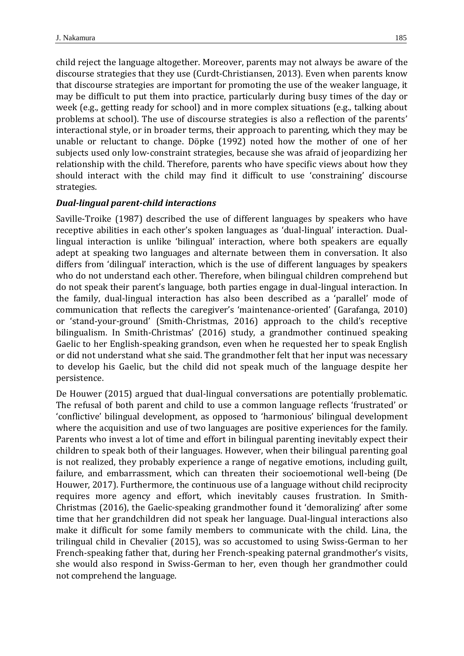child reject the language altogether. Moreover, parents may not always be aware of the discourse strategies that they use (Curdt-Christiansen, 2013). Even when parents know that discourse strategies are important for promoting the use of the weaker language, it may be difficult to put them into practice, particularly during busy times of the day or week (e.g., getting ready for school) and in more complex situations (e.g., talking about problems at school). The use of discourse strategies is also a reflection of the parents' interactional style, or in broader terms, their approach to parenting, which they may be unable or reluctant to change. Döpke (1992) noted how the mother of one of her subjects used only low-constraint strategies, because she was afraid of jeopardizing her relationship with the child. Therefore, parents who have specific views about how they should interact with the child may find it difficult to use 'constraining' discourse strategies.

#### *Dual-lingual parent-child interactions*

Saville-Troike (1987) described the use of different languages by speakers who have receptive abilities in each other's spoken languages as 'dual-lingual' interaction. Duallingual interaction is unlike 'bilingual' interaction, where both speakers are equally adept at speaking two languages and alternate between them in conversation. It also differs from 'dilingual' interaction, which is the use of different languages by speakers who do not understand each other. Therefore, when bilingual children comprehend but do not speak their parent's language, both parties engage in dual-lingual interaction. In the family, dual-lingual interaction has also been described as a 'parallel' mode of communication that reflects the caregiver's 'maintenance-oriented' (Garafanga, 2010) or 'stand-your-ground' (Smith-Christmas, 2016) approach to the child's receptive bilingualism. In Smith-Christmas' (2016) study, a grandmother continued speaking Gaelic to her English-speaking grandson, even when he requested her to speak English or did not understand what she said. The grandmother felt that her input was necessary to develop his Gaelic, but the child did not speak much of the language despite her persistence.

De Houwer (2015) argued that dual-lingual conversations are potentially problematic. The refusal of both parent and child to use a common language reflects 'frustrated' or 'conflictive' bilingual development, as opposed to 'harmonious' bilingual development where the acquisition and use of two languages are positive experiences for the family. Parents who invest a lot of time and effort in bilingual parenting inevitably expect their children to speak both of their languages. However, when their bilingual parenting goal is not realized, they probably experience a range of negative emotions, including guilt, failure, and embarrassment, which can threaten their socioemotional well-being (De Houwer, 2017). Furthermore, the continuous use of a language without child reciprocity requires more agency and effort, which inevitably causes frustration. In Smith-Christmas (2016), the Gaelic-speaking grandmother found it 'demoralizing' after some time that her grandchildren did not speak her language. Dual-lingual interactions also make it difficult for some family members to communicate with the child. Lina, the trilingual child in Chevalier (2015), was so accustomed to using Swiss-German to her French-speaking father that, during her French-speaking paternal grandmother's visits, she would also respond in Swiss-German to her, even though her grandmother could not comprehend the language.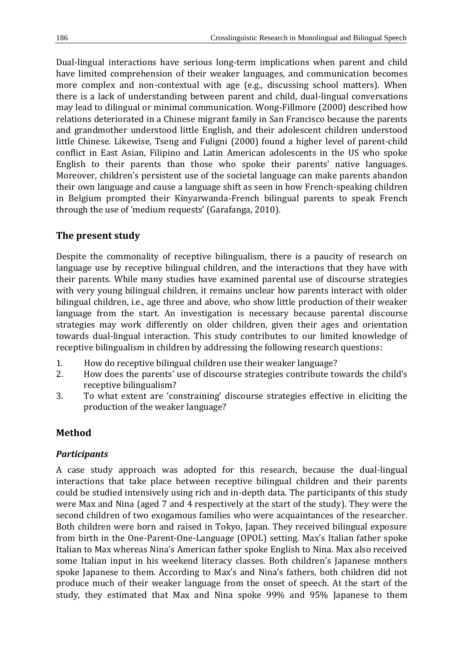Dual-lingual interactions have serious long-term implications when parent and child have limited comprehension of their weaker languages, and communication becomes more complex and non-contextual with age (e.g., discussing school matters). When there is a lack of understanding between parent and child, dual-lingual conversations may lead to dilingual or minimal communication. Wong-Fillmore (2000) described how relations deteriorated in a Chinese migrant family in San Francisco because the parents and grandmother understood little English, and their adolescent children understood little Chinese. Likewise, Tseng and Fuligni (2000) found a higher level of parent-child conflict in East Asian, Filipino and Latin American adolescents in the US who spoke English to their parents than those who spoke their parents' native languages. Moreover, children's persistent use of the societal language can make parents abandon their own language and cause a language shift as seen in how French-speaking children in Belgium prompted their Kinyarwanda-French bilingual parents to speak French through the use of 'medium requests' (Garafanga, 2010).

# **The present study**

Despite the commonality of receptive bilingualism, there is a paucity of research on language use by receptive bilingual children, and the interactions that they have with their parents. While many studies have examined parental use of discourse strategies with very young bilingual children, it remains unclear how parents interact with older bilingual children, i.e., age three and above, who show little production of their weaker language from the start. An investigation is necessary because parental discourse strategies may work differently on older children, given their ages and orientation towards dual-lingual interaction. This study contributes to our limited knowledge of receptive bilingualism in children by addressing the following research questions:

- 1. How do receptive bilingual children use their weaker language?
- 2. How does the parents' use of discourse strategies contribute towards the child's receptive bilingualism?
- 3. To what extent are 'constraining' discourse strategies effective in eliciting the production of the weaker language?

# **Method**

# *Participants*

A case study approach was adopted for this research, because the dual-lingual interactions that take place between receptive bilingual children and their parents could be studied intensively using rich and in-depth data. The participants of this study were Max and Nina (aged 7 and 4 respectively at the start of the study). They were the second children of two exogamous families who were acquaintances of the researcher. Both children were born and raised in Tokyo, Japan. They received bilingual exposure from birth in the One-Parent-One-Language (OPOL) setting. Max's Italian father spoke Italian to Max whereas Nina's American father spoke English to Nina. Max also received some Italian input in his weekend literacy classes. Both children's Japanese mothers spoke Japanese to them. According to Max's and Nina's fathers, both children did not produce much of their weaker language from the onset of speech. At the start of the study, they estimated that Max and Nina spoke 99% and 95% Japanese to them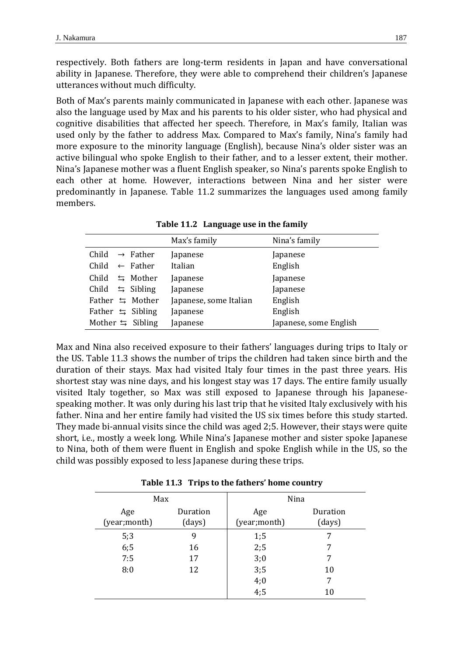respectively. Both fathers are long-term residents in Japan and have conversational ability in Japanese. Therefore, they were able to comprehend their children's Japanese utterances without much difficulty.

Both of Max's parents mainly communicated in Japanese with each other. Japanese was also the language used by Max and his parents to his older sister, who had physical and cognitive disabilities that affected her speech. Therefore, in Max's family, Italian was used only by the father to address Max. Compared to Max's family, Nina's family had more exposure to the minority language (English), because Nina's older sister was an active bilingual who spoke English to their father, and to a lesser extent, their mother. Nina's Japanese mother was a fluent English speaker, so Nina's parents spoke English to each other at home. However, interactions between Nina and her sister were predominantly in Japanese. Table 11.2 summarizes the languages used among family members.

|                               | Max's family           | Nina's family          |
|-------------------------------|------------------------|------------------------|
| Child<br>$\rightarrow$ Father | Japanese               | Japanese               |
| Child<br>$\leftarrow$ Father  | Italian                | English                |
| $\leq$ Mother<br>Child        | Japanese               | Japanese               |
| $\leq$ Sibling<br>Child       | Japanese               | Japanese               |
| Father $\leq$ Mother          | Japanese, some Italian | English                |
| Father $\leq$ Sibling         | Japanese               | English                |
| Mother $\leq$ Sibling         | Japanese               | Japanese, some English |

**Table 11.2 Language use in the family**

Max and Nina also received exposure to their fathers' languages during trips to Italy or the US. Table 11.3 shows the number of trips the children had taken since birth and the duration of their stays. Max had visited Italy four times in the past three years. His shortest stay was nine days, and his longest stay was 17 days. The entire family usually visited Italy together, so Max was still exposed to Japanese through his Japanesespeaking mother. It was only during his last trip that he visited Italy exclusively with his father. Nina and her entire family had visited the US six times before this study started. They made bi-annual visits since the child was aged 2;5. However, their stays were quite short, i.e., mostly a week long. While Nina's Japanese mother and sister spoke Japanese to Nina, both of them were fluent in English and spoke English while in the US, so the child was possibly exposed to less Japanese during these trips.

|  |  | Table 11.3 Trips to the fathers' home country |  |  |
|--|--|-----------------------------------------------|--|--|
|--|--|-----------------------------------------------|--|--|

| Max                  |                    | Nina                 |                    |  |
|----------------------|--------------------|----------------------|--------------------|--|
| Age<br>(year; month) | Duration<br>(days) | Age<br>(year; month) | Duration<br>(days) |  |
| 5:3                  | 9                  | 1;5                  |                    |  |
| 6;5                  | 16                 | 2;5                  | 7                  |  |
| 7:5                  | 17                 | 3;0                  | 7                  |  |
| 8:0                  | 12                 | 3;5                  | 10                 |  |
|                      |                    | 4;0                  | 7                  |  |
|                      |                    | 4:5                  | 10                 |  |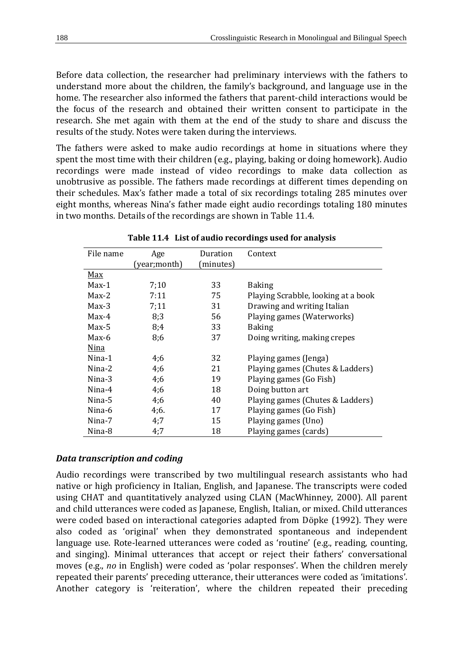Before data collection, the researcher had preliminary interviews with the fathers to understand more about the children, the family's background, and language use in the home. The researcher also informed the fathers that parent-child interactions would be the focus of the research and obtained their written consent to participate in the research. She met again with them at the end of the study to share and discuss the results of the study. Notes were taken during the interviews.

The fathers were asked to make audio recordings at home in situations where they spent the most time with their children (e.g., playing, baking or doing homework). Audio recordings were made instead of video recordings to make data collection as unobtrusive as possible. The fathers made recordings at different times depending on their schedules. Max's father made a total of six recordings totaling 285 minutes over eight months, whereas Nina's father made eight audio recordings totaling 180 minutes in two months. Details of the recordings are shown in Table 11.4.

| File name  | Age          | Duration | Context                             |
|------------|--------------|----------|-------------------------------------|
|            | (year;month) | minutes) |                                     |
| <u>Max</u> |              |          |                                     |
| $Max-1$    | 7;10         | 33       | <b>Baking</b>                       |
| $Max-2$    | 7:11         | 75       | Playing Scrabble, looking at a book |
| $Max-3$    | 7:11         | 31       | Drawing and writing Italian         |
| $Max-4$    | 8:3          | 56       | Playing games (Waterworks)          |
| $Max-5$    | 8;4          | 33       | <b>Baking</b>                       |
| $Max-6$    | 8;6          | 37       | Doing writing, making crepes        |
| Nina       |              |          |                                     |
| Nina-1     | 4;6          | 32       | Playing games (Jenga)               |
| $N$ ina-2  | 4;6          | 21       | Playing games (Chutes & Ladders)    |
| Nina-3     | 4;6          | 19       | Playing games (Go Fish)             |
| $N$ ina-4  | 4;6          | 18       | Doing button art                    |
| Nina-5     | 4;6          | 40       | Playing games (Chutes & Ladders)    |
| Nina-6     | 4;6.         | 17       | Playing games (Go Fish)             |
| Nina-7     | 4:7          | 15       | Playing games (Uno)                 |
| Nina-8     | 4:7          | 18       | Playing games (cards)               |

**Table 11.4 List of audio recordings used for analysis**

#### *Data transcription and coding*

Audio recordings were transcribed by two multilingual research assistants who had native or high proficiency in Italian, English, and Japanese. The transcripts were coded using CHAT and quantitatively analyzed using CLAN (MacWhinney, 2000). All parent and child utterances were coded as Japanese, English, Italian, or mixed. Child utterances were coded based on interactional categories adapted from Döpke (1992). They were also coded as 'original' when they demonstrated spontaneous and independent language use. Rote-learned utterances were coded as 'routine' (e.g., reading, counting, and singing). Minimal utterances that accept or reject their fathers' conversational moves (e.g., *no* in English) were coded as 'polar responses'. When the children merely repeated their parents' preceding utterance, their utterances were coded as 'imitations'. Another category is 'reiteration', where the children repeated their preceding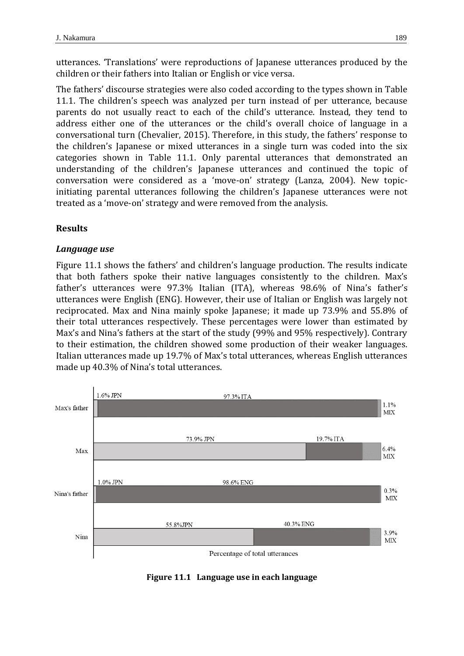utterances. 'Translations' were reproductions of Japanese utterances produced by the children or their fathers into Italian or English or vice versa.

The fathers' discourse strategies were also coded according to the types shown in Table 11.1. The children's speech was analyzed per turn instead of per utterance, because parents do not usually react to each of the child's utterance. Instead, they tend to address either one of the utterances or the child's overall choice of language in a conversational turn (Chevalier, 2015). Therefore, in this study, the fathers' response to the children's Japanese or mixed utterances in a single turn was coded into the six categories shown in Table 11.1. Only parental utterances that demonstrated an understanding of the children's Japanese utterances and continued the topic of conversation were considered as a 'move-on' strategy (Lanza, 2004). New topicinitiating parental utterances following the children's Japanese utterances were not treated as a 'move-on' strategy and were removed from the analysis.

## **Results**

#### *Language use*

Figure 11.1 shows the fathers' and children's language production. The results indicate that both fathers spoke their native languages consistently to the children. Max's father's utterances were 97.3% Italian (ITA), whereas 98.6% of Nina's father's utterances were English (ENG). However, their use of Italian or English was largely not reciprocated. Max and Nina mainly spoke Japanese; it made up 73.9% and 55.8% of their total utterances respectively. These percentages were lower than estimated by Max's and Nina's fathers at the start of the study (99% and 95% respectively). Contrary to their estimation, the children showed some production of their weaker languages. Italian utterances made up 19.7% of Max's total utterances, whereas English utterances made up 40.3% of Nina's total utterances.



**Figure 11.1 Language use in each language**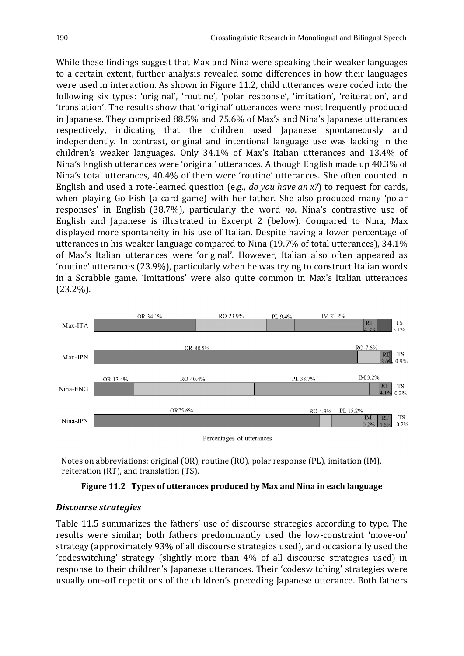While these findings suggest that Max and Nina were speaking their weaker languages to a certain extent, further analysis revealed some differences in how their languages were used in interaction. As shown in Figure 11.2, child utterances were coded into the following six types: 'original', 'routine', 'polar response', 'imitation', 'reiteration', and 'translation'. The results show that 'original' utterances were most frequently produced in Japanese. They comprised 88.5% and 75.6% of Max's and Nina's Japanese utterances respectively, indicating that the children used Japanese spontaneously and independently. In contrast, original and intentional language use was lacking in the children's weaker languages. Only 34.1% of Max's Italian utterances and 13.4% of Nina's English utterances were 'original' utterances. Although English made up 40.3% of Nina's total utterances, 40.4% of them were 'routine' utterances. She often counted in English and used a rote-learned question (e.g., *do you have an x?*) to request for cards, when playing Go Fish (a card game) with her father. She also produced many 'polar responses' in English (38.7%), particularly the word *no*. Nina's contrastive use of English and Japanese is illustrated in Excerpt 2 (below). Compared to Nina, Max displayed more spontaneity in his use of Italian. Despite having a lower percentage of utterances in his weaker language compared to Nina (19.7% of total utterances), 34.1% of Max's Italian utterances were 'original'. However, Italian also often appeared as 'routine' utterances (23.9%), particularly when he was trying to construct Italian words in a Scrabble game. 'Imitations' were also quite common in Max's Italian utterances (23.2%).



 Notes on abbreviations: original (OR), routine (RO), polar response (PL), imitation (IM), reiteration (RT), and translation (TS).

#### **Figure 11.2 Types of utterances produced by Max and Nina in each language**

# *Discourse strategies*

Table 11.5 summarizes the fathers' use of discourse strategies according to type. The results were similar; both fathers predominantly used the low-constraint 'move-on' strategy (approximately 93% of all discourse strategies used), and occasionally used the 'codeswitching' strategy (slightly more than 4% of all discourse strategies used) in response to their children's Japanese utterances. Their 'codeswitching' strategies were usually one-off repetitions of the children's preceding Japanese utterance. Both fathers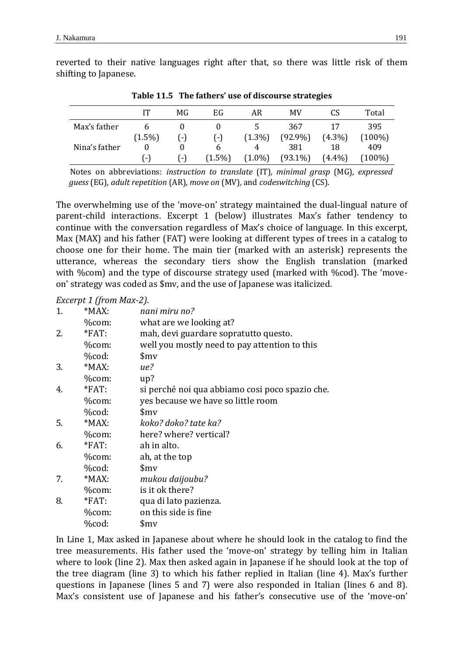reverted to their native languages right after that, so there was little risk of them shifting to Japanese.

|               | IT        | MG              | EG        | AR        | MV         | CS        | Total     |
|---------------|-----------|-----------------|-----------|-----------|------------|-----------|-----------|
| Max's father  |           |                 |           |           | 367        |           | 395       |
|               | $(1.5\%)$ | $(-)$           | $(-)$     | $(1.3\%)$ | $(92.9\%)$ | $(4.3\%)$ | $(100\%)$ |
| Nina's father |           | 0               | b         | 4         | 381        | 18        | 409       |
|               | I – I     | $\vert - \vert$ | $(1.5\%)$ | $(1.0\%)$ | $(93.1\%)$ | $(4.4\%)$ | $(100\%)$ |

**Table 11.5 The fathers' use of discourse strategies**

Notes on abbreviations: *instruction to translate* (IT)*, minimal grasp* (MG)*, expressed guess* (EG)*, adult repetition* (AR)*, move on* (MV)*,* and *codeswitching* (CS).

The overwhelming use of the 'move-on' strategy maintained the dual-lingual nature of parent-child interactions. Excerpt 1 (below) illustrates Max's father tendency to continue with the conversation regardless of Max's choice of language. In this excerpt, Max (MAX) and his father (FAT) were looking at different types of trees in a catalog to choose one for their home. The main tier (marked with an asterisk) represents the utterance, whereas the secondary tiers show the English translation (marked with %com) and the type of discourse strategy used (marked with %cod). The 'moveon' strategy was coded as \$mv, and the use of Japanese was italicized.

*Excerpt 1 (from Max-2)*.

| 1. | $*MAX:$  | nani miru no?                                   |
|----|----------|-------------------------------------------------|
|    | %com:    | what are we looking at?                         |
| 2. | $*FAT$ : | mah, devi guardare sopratutto questo.           |
|    | %com:    | well you mostly need to pay attention to this   |
|    | %cod:    | $\frac{\sin y}{\sin y}$                         |
| 3. | *MAX:    | ue?                                             |
|    | %com:    | up?                                             |
| 4. | $*FAT$ : | si perché noi qua abbiamo cosi poco spazio che. |
|    | %com:    | yes because we have so little room              |
|    | %cod:    | $\frac{\sin y}{\sin y}$                         |
| 5. | $*MAX:$  | koko? doko? tate ka?                            |
|    | %com:    | here? where? vertical?                          |
| 6. | $*FAT$ : | ah in alto.                                     |
|    | %com:    | ah, at the top                                  |
|    | %cod:    | $\mathsf{Smv}$                                  |
| 7. | $*MAX:$  | mukou daijoubu?                                 |
|    | %com:    | is it ok there?                                 |
| 8. | *FAT:    | qua di lato pazienza.                           |
|    | %com:    | on this side is fine                            |
|    | %cod:    | $\frac{\sin x}{\sin x}$                         |
|    |          |                                                 |

In Line 1, Max asked in Japanese about where he should look in the catalog to find the tree measurements. His father used the 'move-on' strategy by telling him in Italian where to look (line 2). Max then asked again in Japanese if he should look at the top of the tree diagram (line 3) to which his father replied in Italian (line 4). Max's further questions in Japanese (lines 5 and 7) were also responded in Italian (lines 6 and 8). Max's consistent use of Japanese and his father's consecutive use of the 'move-on'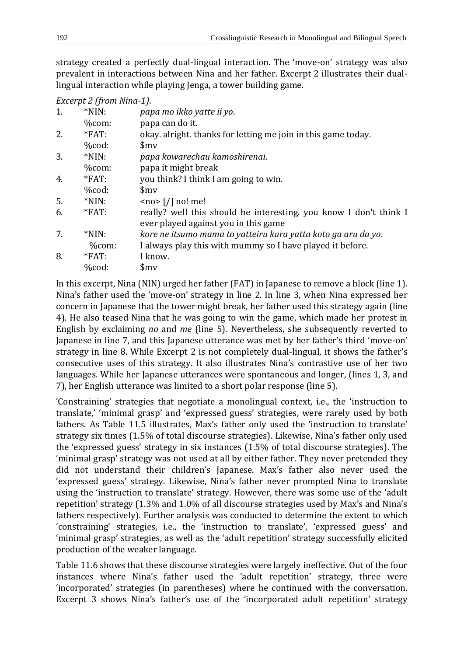strategy created a perfectly dual-lingual interaction. The 'move-on' strategy was also prevalent in interactions between Nina and her father. Excerpt 2 illustrates their duallingual interaction while playing Jenga, a tower building game.

| Excerpt 2 (from Nina-1). |  |
|--------------------------|--|
|                          |  |

| $*NIN:$          | papa mo ikko yatte ii yo.                                                                                 |
|------------------|-----------------------------------------------------------------------------------------------------------|
| %com:            | papa can do it.                                                                                           |
| $*FAT:$          | okay. alright, thanks for letting me join in this game today.                                             |
| %cod:            | $\mathsf{Smv}$                                                                                            |
| $*NIN:$          | papa kowarechau kamoshirenai.                                                                             |
| %com:            | papa it might break                                                                                       |
| $*FAT$ :         | you think? I think I am going to win.                                                                     |
| $% \text{cod}$ : | $\mathsf{Smv}$                                                                                            |
| $*NIN:$          | $<$ no> $\lceil$ / $\rceil$ no! me!                                                                       |
| $*FAT$ :         | really? well this should be interesting, you know I don't think I<br>ever played against you in this game |
| $*NIN:$          | kore ne itsumo mama to yatteiru kara yatta koto ga aru da yo.                                             |
| %com:            | I always play this with mummy so I have played it before.                                                 |
| $*FAT$ :         | I know.                                                                                                   |
| %cod:            | $\mathsf{Smv}$                                                                                            |
|                  |                                                                                                           |

In this excerpt, Nina (NIN) urged her father (FAT) in Japanese to remove a block (line 1). Nina's father used the 'move-on' strategy in line 2. In line 3, when Nina expressed her concern in Japanese that the tower might break, her father used this strategy again (line 4). He also teased Nina that he was going to win the game, which made her protest in English by exclaiming *no* and *me* (line 5). Nevertheless, she subsequently reverted to Japanese in line 7, and this Japanese utterance was met by her father's third 'move-on' strategy in line 8. While Excerpt 2 is not completely dual-lingual, it shows the father's consecutive uses of this strategy. It also illustrates Nina's contrastive use of her two languages. While her Japanese utterances were spontaneous and longer, (lines 1, 3, and 7), her English utterance was limited to a short polar response (line 5).

'Constraining' strategies that negotiate a monolingual context, i.e., the 'instruction to translate,' 'minimal grasp' and 'expressed guess' strategies, were rarely used by both fathers. As Table 11.5 illustrates, Max's father only used the 'instruction to translate' strategy six times (1.5% of total discourse strategies). Likewise, Nina's father only used the 'expressed guess' strategy in six instances (1.5% of total discourse strategies). The 'minimal grasp' strategy was not used at all by either father. They never pretended they did not understand their children's Japanese. Max's father also never used the 'expressed guess' strategy. Likewise, Nina's father never prompted Nina to translate using the 'instruction to translate' strategy. However, there was some use of the 'adult repetition' strategy (1.3% and 1.0% of all discourse strategies used by Max's and Nina's fathers respectively). Further analysis was conducted to determine the extent to which 'constraining' strategies, i.e., the 'instruction to translate', 'expressed guess' and 'minimal grasp' strategies, as well as the 'adult repetition' strategy successfully elicited production of the weaker language.

Table 11.6 shows that these discourse strategies were largely ineffective. Out of the four instances where Nina's father used the 'adult repetition' strategy, three were 'incorporated' strategies (in parentheses) where he continued with the conversation. Excerpt 3 shows Nina's father's use of the 'incorporated adult repetition' strategy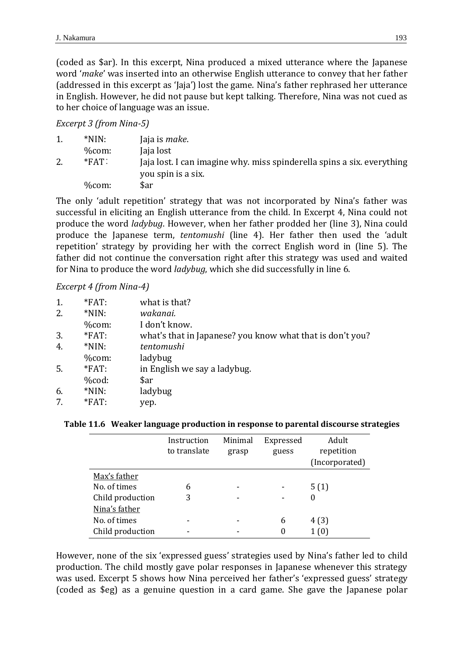(coded as \$ar). In this excerpt, Nina produced a mixed utterance where the Japanese word '*make*' was inserted into an otherwise English utterance to convey that her father (addressed in this excerpt as 'Jaja') lost the game. Nina's father rephrased her utterance in English. However, he did not pause but kept talking. Therefore, Nina was not cued as to her choice of language was an issue.

## *Excerpt 3 (from Nina-5)*

| $*NIN:$  | Jaja is <i>make</i> .                                                                        |
|----------|----------------------------------------------------------------------------------------------|
| $%$ com: | Jaja lost                                                                                    |
| $*FAT$ : | Jaja lost. I can imagine why. miss spinderella spins a six. everything<br>you spin is a six. |
| $%$ com: | \$ar                                                                                         |

The only 'adult repetition' strategy that was not incorporated by Nina's father was successful in eliciting an English utterance from the child. In Excerpt 4, Nina could not produce the word *ladybug*. However, when her father prodded her (line 3), Nina could produce the Japanese term, *tentomushi* (line 4). Her father then used the 'adult repetition' strategy by providing her with the correct English word in (line 5). The father did not continue the conversation right after this strategy was used and waited for Nina to produce the word *ladybug*, which she did successfully in line 6.

## *Excerpt 4 (from Nina-4)*

| 1. | $*FAT:$          | what is that?                                             |
|----|------------------|-----------------------------------------------------------|
| 2. | $*NIN:$          | wakanai.                                                  |
|    | %com:            | I don't know.                                             |
| 3. | $*FAT$ :         | what's that in Japanese? you know what that is don't you? |
| 4. | $*NIN:$          | tentomushi                                                |
|    | %com:            | ladybug                                                   |
| 5. | $*FAT:$          | in English we say a ladybug.                              |
|    | $% \text{cod}$ : | \$ar                                                      |
| 6. | $*NIN:$          | ladybug                                                   |
| 7. | $*FAT:$          | yep.                                                      |
|    |                  |                                                           |

#### **Table 11.6 Weaker language production in response to parental discourse strategies**

|                  | Instruction<br>to translate | Minimal<br>grasp | Expressed<br>guess | Adult<br>repetition<br>(Incorporated) |
|------------------|-----------------------------|------------------|--------------------|---------------------------------------|
| Max's father     |                             |                  |                    |                                       |
| No. of times     | 6                           |                  |                    | 5(1)                                  |
| Child production | 3                           |                  |                    | 0                                     |
| Nina's father    |                             |                  |                    |                                       |
| No. of times     |                             |                  | 6                  | 4(3)                                  |
| Child production |                             |                  |                    | 1 (0)                                 |

However, none of the six 'expressed guess' strategies used by Nina's father led to child production. The child mostly gave polar responses in Japanese whenever this strategy was used. Excerpt 5 shows how Nina perceived her father's 'expressed guess' strategy (coded as \$eg) as a genuine question in a card game. She gave the Japanese polar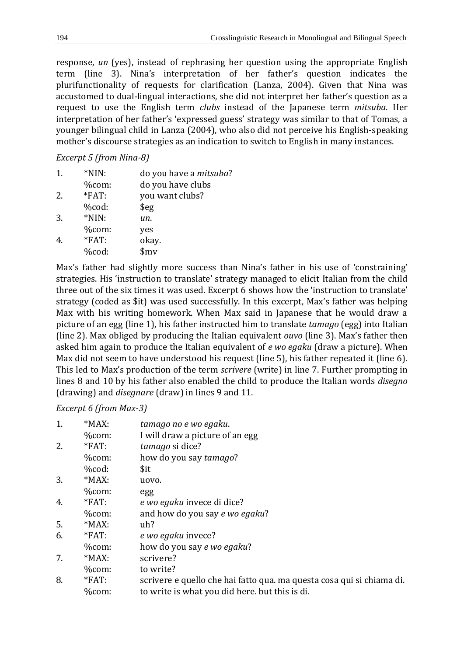response, *un* (yes), instead of rephrasing her question using the appropriate English term (line 3). Nina's interpretation of her father's question indicates the plurifunctionality of requests for clarification (Lanza, 2004). Given that Nina was accustomed to dual-lingual interactions, she did not interpret her father's question as a request to use the English term *clubs* instead of the Japanese term *mitsuba*. Her interpretation of her father's 'expressed guess' strategy was similar to that of Tomas, a younger bilingual child in Lanza (2004), who also did not perceive his English-speaking mother's discourse strategies as an indication to switch to English in many instances.

*Excerpt 5 (from Nina-8)*

| 1. | $*NIN:$ | do you have a <i>mitsuba</i> ? |
|----|---------|--------------------------------|
|    | %com:   | do you have clubs              |
| 2. | *FAT:   | you want clubs?                |
|    | %cod:   | $\frac{6}{9}$                  |
| 3. | $*NIN:$ | un.                            |
|    | %com:   | yes                            |
|    | *FAT:   | okay.                          |
|    | %cod:   | $\frac{\text{Smv}}{\text{F}}$  |
|    |         |                                |

Max's father had slightly more success than Nina's father in his use of 'constraining' strategies. His 'instruction to translate' strategy managed to elicit Italian from the child three out of the six times it was used. Excerpt 6 shows how the 'instruction to translate' strategy (coded as \$it) was used successfully. In this excerpt, Max's father was helping Max with his writing homework. When Max said in Japanese that he would draw a picture of an egg (line 1), his father instructed him to translate *tamago* (egg) into Italian (line 2). Max obliged by producing the Italian equivalent *ouvo* (line 3). Max's father then asked him again to produce the Italian equivalent of *e wo egaku* (draw a picture). When Max did not seem to have understood his request (line 5), his father repeated it (line 6). This led to Max's production of the term *scrivere* (write) in line 7. Further prompting in lines 8 and 10 by his father also enabled the child to produce the Italian words *disegno*  (drawing) and *disegnare* (draw) in lines 9 and 11.

# *Excerpt 6 (from Max-3)*

| 1. | $*MAX:$          | tamago no e wo egaku.                                                 |
|----|------------------|-----------------------------------------------------------------------|
|    | %com:            | I will draw a picture of an egg                                       |
| 2. | $*FAT$ :         | tamago si dice?                                                       |
|    | %com:            | how do you say tamago?                                                |
|    | $% \text{cod}$ : | \$it                                                                  |
| 3. | $*MAX:$          | uovo.                                                                 |
|    | %com:            | egg                                                                   |
| 4. | $*FAT$ :         | e wo egaku invece di dice?                                            |
|    | %com:            | and how do you say e wo egaku?                                        |
| 5. | $*MAX:$          | uh?                                                                   |
| 6. | $*FAT:$          | e wo egaku invece?                                                    |
|    | %com:            | how do you say e wo egaku?                                            |
| 7. | $*MAX:$          | scrivere?                                                             |
|    | %com:            | to write?                                                             |
| 8. | $*FAT$ :         | scrivere e quello che hai fatto qua. ma questa cosa qui si chiama di. |
|    | %com:            | to write is what you did here. but this is di.                        |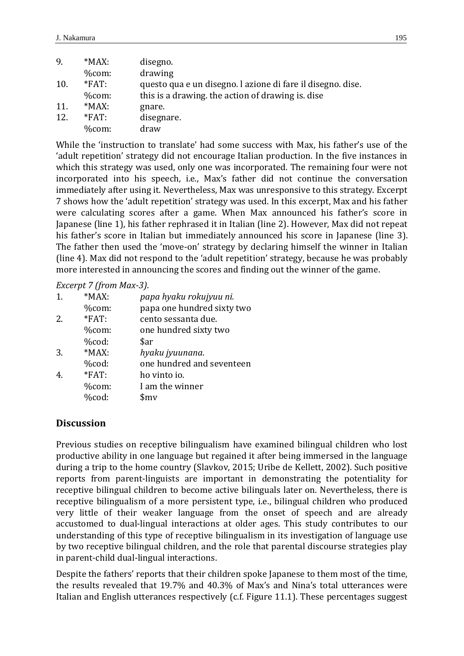| 9.  | $*MAX:$  | disegno.                                                    |
|-----|----------|-------------------------------------------------------------|
|     | $%$ com: | drawing                                                     |
| 10. | $*FAT$ : | questo qua e un disegno. I azione di fare il disegno. dise. |
|     | $%$ com: | this is a drawing, the action of drawing is, dise           |
| 11. | $*MAX:$  | gnare.                                                      |
| 12. | $*FAT$ : | disegnare.                                                  |
|     | $%$ com: | draw                                                        |

While the 'instruction to translate' had some success with Max, his father's use of the 'adult repetition' strategy did not encourage Italian production. In the five instances in which this strategy was used, only one was incorporated. The remaining four were not incorporated into his speech, i.e., Max's father did not continue the conversation immediately after using it. Nevertheless, Max was unresponsive to this strategy. Excerpt 7 shows how the 'adult repetition' strategy was used. In this excerpt, Max and his father were calculating scores after a game. When Max announced his father's score in Japanese (line 1), his father rephrased it in Italian (line 2). However, Max did not repeat his father's score in Italian but immediately announced his score in Japanese (line 3). The father then used the 'move-on' strategy by declaring himself the winner in Italian (line 4). Max did not respond to the 'adult repetition' strategy, because he was probably more interested in announcing the scores and finding out the winner of the game.

*Excerpt 7 (from Max-3)*.

| $\mathbf{1}$ . | $*MAX:$  | papa hyaku rokujyuu ni.    |
|----------------|----------|----------------------------|
|                | %com:    | papa one hundred sixty two |
| 2.             | $*FAT$ : | cento sessanta due.        |
|                | %com:    | one hundred sixty two      |
|                | %cod:    | \$ar                       |
| 3.             | $*MAX:$  | hyaku jyuunana.            |
|                | %cod:    | one hundred and seventeen  |
|                | $*FAT$ : | ho vinto io.               |
|                | %com:    | I am the winner            |
|                | %cod:    | $\mathsf{Smv}$             |
|                |          |                            |

# **Discussion**

Previous studies on receptive bilingualism have examined bilingual children who lost productive ability in one language but regained it after being immersed in the language during a trip to the home country (Slavkov, 2015; Uribe de Kellett, 2002). Such positive reports from parent-linguists are important in demonstrating the potentiality for receptive bilingual children to become active bilinguals later on. Nevertheless, there is receptive bilingualism of a more persistent type, i.e., bilingual children who produced very little of their weaker language from the onset of speech and are already accustomed to dual-lingual interactions at older ages. This study contributes to our understanding of this type of receptive bilingualism in its investigation of language use by two receptive bilingual children, and the role that parental discourse strategies play in parent-child dual-lingual interactions.

Despite the fathers' reports that their children spoke Japanese to them most of the time, the results revealed that 19.7% and 40.3% of Max's and Nina's total utterances were Italian and English utterances respectively (c.f. Figure 11.1). These percentages suggest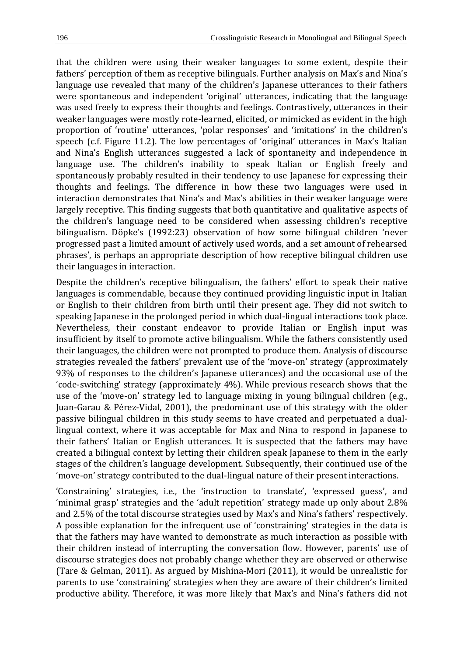that the children were using their weaker languages to some extent, despite their fathers' perception of them as receptive bilinguals. Further analysis on Max's and Nina's language use revealed that many of the children's Japanese utterances to their fathers were spontaneous and independent 'original' utterances, indicating that the language was used freely to express their thoughts and feelings. Contrastively, utterances in their weaker languages were mostly rote-learned, elicited, or mimicked as evident in the high proportion of 'routine' utterances, 'polar responses' and 'imitations' in the children's speech (c.f. Figure 11.2). The low percentages of 'original' utterances in Max's Italian and Nina's English utterances suggested a lack of spontaneity and independence in language use. The children's inability to speak Italian or English freely and spontaneously probably resulted in their tendency to use Japanese for expressing their thoughts and feelings. The difference in how these two languages were used in interaction demonstrates that Nina's and Max's abilities in their weaker language were largely receptive. This finding suggests that both quantitative and qualitative aspects of the children's language need to be considered when assessing children's receptive bilingualism. Döpke's (1992:23) observation of how some bilingual children 'never progressed past a limited amount of actively used words, and a set amount of rehearsed phrases', is perhaps an appropriate description of how receptive bilingual children use their languages in interaction.

Despite the children's receptive bilingualism, the fathers' effort to speak their native languages is commendable, because they continued providing linguistic input in Italian or English to their children from birth until their present age. They did not switch to speaking Japanese in the prolonged period in which dual-lingual interactions took place. Nevertheless, their constant endeavor to provide Italian or English input was insufficient by itself to promote active bilingualism. While the fathers consistently used their languages, the children were not prompted to produce them. Analysis of discourse strategies revealed the fathers' prevalent use of the 'move-on' strategy (approximately 93% of responses to the children's Japanese utterances) and the occasional use of the 'code-switching' strategy (approximately 4%). While previous research shows that the use of the 'move-on' strategy led to language mixing in young bilingual children (e.g., Juan-Garau & Pérez-Vidal, 2001), the predominant use of this strategy with the older passive bilingual children in this study seems to have created and perpetuated a duallingual context, where it was acceptable for Max and Nina to respond in Japanese to their fathers' Italian or English utterances. It is suspected that the fathers may have created a bilingual context by letting their children speak Japanese to them in the early stages of the children's language development. Subsequently, their continued use of the 'move-on' strategy contributed to the dual-lingual nature of their present interactions.

'Constraining' strategies, i.e., the 'instruction to translate', 'expressed guess', and 'minimal grasp' strategies and the 'adult repetition' strategy made up only about 2.8% and 2.5% of the total discourse strategies used by Max's and Nina's fathers' respectively. A possible explanation for the infrequent use of 'constraining' strategies in the data is that the fathers may have wanted to demonstrate as much interaction as possible with their children instead of interrupting the conversation flow. However, parents' use of discourse strategies does not probably change whether they are observed or otherwise (Tare & Gelman, 2011). As argued by Mishina-Mori (2011), it would be unrealistic for parents to use 'constraining' strategies when they are aware of their children's limited productive ability. Therefore, it was more likely that Max's and Nina's fathers did not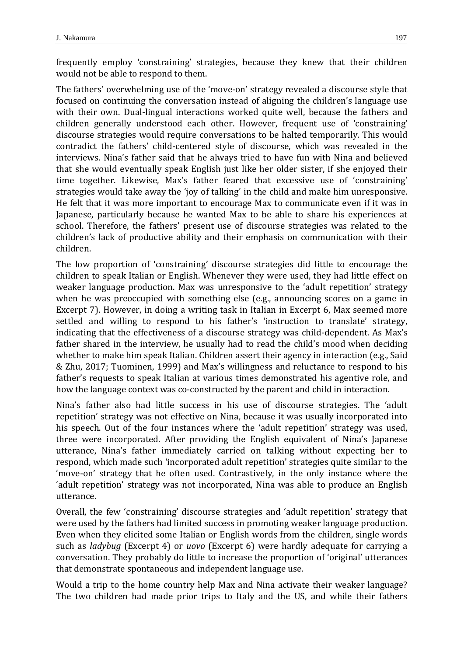frequently employ 'constraining' strategies, because they knew that their children would not be able to respond to them.

The fathers' overwhelming use of the 'move-on' strategy revealed a discourse style that focused on continuing the conversation instead of aligning the children's language use with their own. Dual-lingual interactions worked quite well, because the fathers and children generally understood each other. However, frequent use of 'constraining' discourse strategies would require conversations to be halted temporarily. This would contradict the fathers' child-centered style of discourse, which was revealed in the interviews. Nina's father said that he always tried to have fun with Nina and believed that she would eventually speak English just like her older sister, if she enjoyed their time together. Likewise, Max's father feared that excessive use of 'constraining' strategies would take away the 'joy of talking' in the child and make him unresponsive. He felt that it was more important to encourage Max to communicate even if it was in Japanese, particularly because he wanted Max to be able to share his experiences at school. Therefore, the fathers' present use of discourse strategies was related to the children's lack of productive ability and their emphasis on communication with their children.

The low proportion of 'constraining' discourse strategies did little to encourage the children to speak Italian or English. Whenever they were used, they had little effect on weaker language production. Max was unresponsive to the 'adult repetition' strategy when he was preoccupied with something else (e.g., announcing scores on a game in Excerpt 7). However, in doing a writing task in Italian in Excerpt 6, Max seemed more settled and willing to respond to his father's 'instruction to translate' strategy, indicating that the effectiveness of a discourse strategy was child-dependent. As Max's father shared in the interview, he usually had to read the child's mood when deciding whether to make him speak Italian. Children assert their agency in interaction (e.g., Said & Zhu, 2017; Tuominen, 1999) and Max's willingness and reluctance to respond to his father's requests to speak Italian at various times demonstrated his agentive role, and how the language context was co-constructed by the parent and child in interaction.

Nina's father also had little success in his use of discourse strategies. The 'adult repetition' strategy was not effective on Nina, because it was usually incorporated into his speech. Out of the four instances where the 'adult repetition' strategy was used, three were incorporated. After providing the English equivalent of Nina's Japanese utterance, Nina's father immediately carried on talking without expecting her to respond, which made such 'incorporated adult repetition' strategies quite similar to the 'move-on' strategy that he often used. Contrastively, in the only instance where the 'adult repetition' strategy was not incorporated, Nina was able to produce an English utterance.

Overall, the few 'constraining' discourse strategies and 'adult repetition' strategy that were used by the fathers had limited success in promoting weaker language production. Even when they elicited some Italian or English words from the children, single words such as *ladybug* (Excerpt 4) or *uovo* (Excerpt 6) were hardly adequate for carrying a conversation. They probably do little to increase the proportion of 'original' utterances that demonstrate spontaneous and independent language use.

Would a trip to the home country help Max and Nina activate their weaker language? The two children had made prior trips to Italy and the US, and while their fathers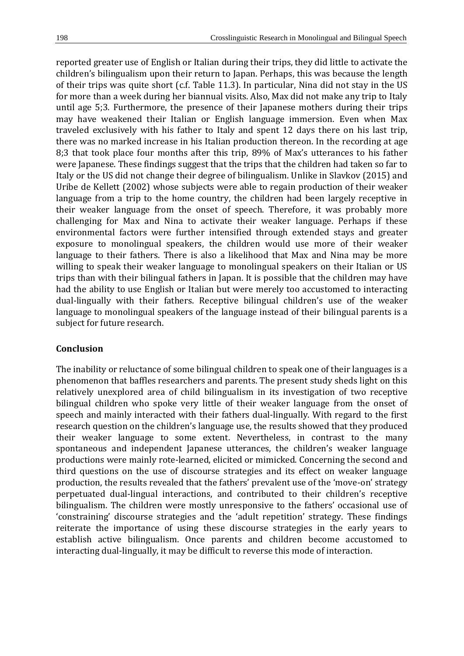reported greater use of English or Italian during their trips, they did little to activate the children's bilingualism upon their return to Japan. Perhaps, this was because the length of their trips was quite short (c.f. Table 11.3). In particular, Nina did not stay in the US for more than a week during her biannual visits. Also, Max did not make any trip to Italy until age 5;3. Furthermore, the presence of their Japanese mothers during their trips may have weakened their Italian or English language immersion. Even when Max traveled exclusively with his father to Italy and spent 12 days there on his last trip, there was no marked increase in his Italian production thereon. In the recording at age 8;3 that took place four months after this trip, 89% of Max's utterances to his father were Japanese. These findings suggest that the trips that the children had taken so far to Italy or the US did not change their degree of bilingualism. Unlike in Slavkov (2015) and Uribe de Kellett (2002) whose subjects were able to regain production of their weaker language from a trip to the home country, the children had been largely receptive in their weaker language from the onset of speech. Therefore, it was probably more challenging for Max and Nina to activate their weaker language. Perhaps if these environmental factors were further intensified through extended stays and greater exposure to monolingual speakers, the children would use more of their weaker language to their fathers. There is also a likelihood that Max and Nina may be more willing to speak their weaker language to monolingual speakers on their Italian or US trips than with their bilingual fathers in Japan. It is possible that the children may have had the ability to use English or Italian but were merely too accustomed to interacting dual-lingually with their fathers. Receptive bilingual children's use of the weaker language to monolingual speakers of the language instead of their bilingual parents is a subject for future research.

#### **Conclusion**

The inability or reluctance of some bilingual children to speak one of their languages is a phenomenon that baffles researchers and parents. The present study sheds light on this relatively unexplored area of child bilingualism in its investigation of two receptive bilingual children who spoke very little of their weaker language from the onset of speech and mainly interacted with their fathers dual-lingually. With regard to the first research question on the children's language use, the results showed that they produced their weaker language to some extent. Nevertheless, in contrast to the many spontaneous and independent Japanese utterances, the children's weaker language productions were mainly rote-learned, elicited or mimicked. Concerning the second and third questions on the use of discourse strategies and its effect on weaker language production, the results revealed that the fathers' prevalent use of the 'move-on' strategy perpetuated dual-lingual interactions, and contributed to their children's receptive bilingualism. The children were mostly unresponsive to the fathers' occasional use of 'constraining' discourse strategies and the 'adult repetition' strategy. These findings reiterate the importance of using these discourse strategies in the early years to establish active bilingualism. Once parents and children become accustomed to interacting dual-lingually, it may be difficult to reverse this mode of interaction.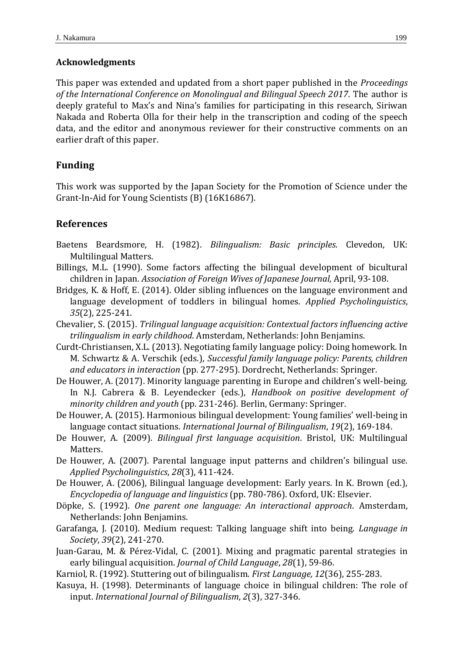# **Acknowledgments**

This paper was extended and updated from a short paper published in the *Proceedings of the International Conference on Monolingual and Bilingual Speech 2017*. The author is deeply grateful to Max's and Nina's families for participating in this research, Siriwan Nakada and Roberta Olla for their help in the transcription and coding of the speech data, and the editor and anonymous reviewer for their constructive comments on an earlier draft of this paper.

# **Funding**

This work was supported by the Japan Society for the Promotion of Science under the Grant-In-Aid for Young Scientists (B) (16K16867).

# **References**

- Baetens Beardsmore, H. (1982). *Bilingualism: Basic principles*. Clevedon, UK: Multilingual Matters.
- Billings, M.L. (1990). Some factors affecting the bilingual development of bicultural children in Japan. *Association of Foreign Wives of Japanese Journal,* April, 93-108.
- Bridges, K. & Hoff, E. (2014). Older sibling influences on the language environment and language development of toddlers in bilingual homes. *Applied Psycholinguistics*, *35*(2), 225-241.
- Chevalier, S. (2015). *Trilingual language acquisition: Contextual factors influencing active trilingualism in early childhood*. Amsterdam, Netherlands: John Benjamins.
- Curdt-Christiansen, X.L. (2013). Negotiating family language policy: Doing homework. In M. Schwartz & A. Verschik (eds.), *Successful family language policy: Parents, children and educators in interaction* (pp. 277-295). Dordrecht, Netherlands: Springer.
- De Houwer, A. (2017). Minority language parenting in Europe and children's well-being. In N.J. Cabrera & B. Leyendecker (eds.), *Handbook on positive development of minority children and youth* (pp. 231-246). Berlin, Germany: Springer.
- De Houwer, A. (2015). Harmonious bilingual development: Young families' well-being in language contact situations. *International Journal of Bilingualism*, *19*(2), 169-184.
- De Houwer, A. (2009). *Bilingual first language acquisition*. Bristol, UK: Multilingual Matters.
- De Houwer, A. (2007). Parental language input patterns and children's bilingual use. *Applied Psycholinguistics*, *28*(3), 411-424.
- De Houwer, A. (2006), Bilingual language development: Early years. In K. Brown (ed.), *Encyclopedia of language and linguistics* (pp. 780-786). Oxford, UK: Elsevier.
- Döpke, S. (1992). *One parent one language: An interactional approach*. Amsterdam, Netherlands: John Benjamins.
- Garafanga, J. (2010). Medium request: Talking language shift into being. *Language in Society*, *39*(2), 241-270.
- Juan-Garau, M. & Pérez-Vidal, C. (2001). Mixing and pragmatic parental strategies in early bilingual acquisition. *Journal of Child Language*, *28*(1), 59-86.
- Karniol, R. (1992). Stuttering out of bilingualism. *First Language, 12*(36), 255-283.
- Kasuya, H. (1998). Determinants of language choice in bilingual children: The role of input. *International Journal of Bilingualism*, *2*(3), 327-346.